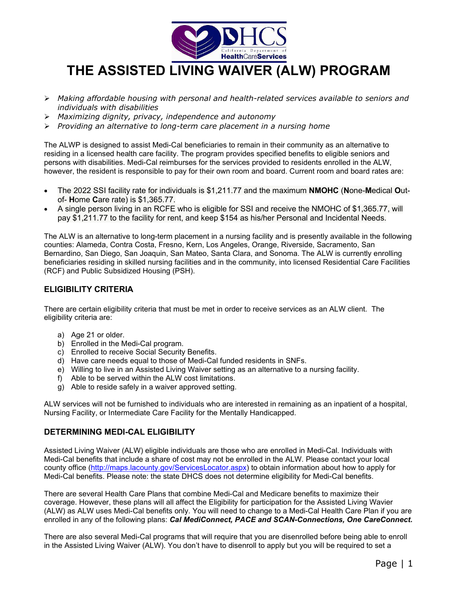

# **THE ASSISTED LIVING WAIVER (ALW) PROGRAM**

- *Making affordable housing with personal and health-related services available to seniors and individuals with disabilities*
- *Maximizing dignity, privacy, independence and autonomy*
- *Providing an alternative to long-term care placement in a nursing home*

The ALWP is designed to assist Medi-Cal beneficiaries to remain in their community as an alternative to residing in a licensed health care facility. The program provides specified benefits to eligible seniors and persons with disabilities. Medi-Cal reimburses for the services provided to residents enrolled in the ALW, however, the resident is responsible to pay for their own room and board. Current room and board rates are:

- The 2022 SSI facility rate for individuals is \$1,211.77 and the maximum **NMOHC** (**N**one-**M**edical **O**utof- **H**ome **C**are rate) is \$1,365.77.
- A single person living in an RCFE who is eligible for SSI and receive the NMOHC of \$1,365.77, will pay \$1,211.77 to the facility for rent, and keep \$154 as his/her Personal and Incidental Needs.

The ALW is an alternative to long-term placement in a nursing facility and is presently available in the following counties: Alameda, Contra Costa, Fresno, Kern, Los Angeles, Orange, Riverside, Sacramento, San Bernardino, San Diego, San Joaquin, San Mateo, Santa Clara, and Sonoma. The ALW is currently enrolling beneficiaries residing in skilled nursing facilities and in the community, into licensed Residential Care Facilities (RCF) and Public Subsidized Housing (PSH).

## **ELIGIBILITY CRITERIA**

There are certain eligibility criteria that must be met in order to receive services as an ALW client. The eligibility criteria are:

- a) Age 21 or older.
- b) Enrolled in the Medi-Cal program.
- c) Enrolled to receive Social Security Benefits.
- d) Have care needs equal to those of Medi-Cal funded residents in SNFs.
- e) Willing to live in an Assisted Living Waiver setting as an alternative to a nursing facility.
- f) Able to be served within the ALW cost limitations.
- g) Able to reside safely in a waiver approved setting.

ALW services will not be furnished to individuals who are interested in remaining as an inpatient of a hospital, Nursing Facility, or Intermediate Care Facility for the Mentally Handicapped.

### **DETERMINING MEDI-CAL ELIGIBILITY**

Assisted Living Waiver (ALW) eligible individuals are those who are enrolled in Medi-Cal. Individuals with Medi-Cal benefits that include a share of cost may not be enrolled in the ALW. Please contact your local county office [\(http://maps.lacounty.gov/ServicesLocator.aspx\)](http://maps.lacounty.gov/ServicesLocator.aspx) to obtain information about how to apply for Medi-Cal benefits. Please note: the state DHCS does not determine eligibility for Medi-Cal benefits.

There are several Health Care Plans that combine Medi-Cal and Medicare benefits to maximize their coverage. However, these plans will all affect the Eligibility for participation for the Assisted Living Wavier (ALW) as ALW uses Medi-Cal benefits only. You will need to change to a Medi-Cal Health Care Plan if you are enrolled in any of the following plans: *Cal MediConnect, PACE and SCAN-Connections, One CareConnect.* 

There are also several Medi-Cal programs that will require that you are disenrolled before being able to enroll in the Assisted Living Waiver (ALW). You don't have to disenroll to apply but you will be required to set a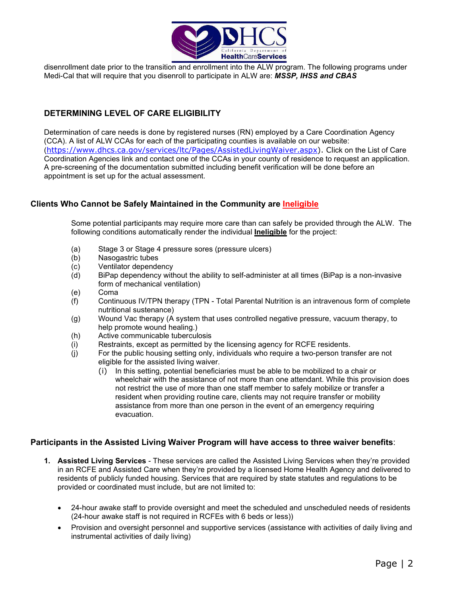

disenrollment date prior to the transition and enrollment into the ALW program. The following programs under Medi-Cal that will require that you disenroll to participate in ALW are: *MSSP, IHSS and CBAS*

# **DETERMINING LEVEL OF CARE ELIGIBILITY**

Determination of care needs is done by registered nurses (RN) employed by a Care Coordination Agency (CCA). A list of ALW CCAs for each of the participating counties is available on our website: ([https://www.dhcs.ca.gov/services/ltc/Pages/AssistedLivingWaiver.aspx\)](https://www.dhcs.ca.gov/services/ltc/Pages/AssistedLivingWaiver.aspx). Click on the List of Care Coordination Agencies link and contact one of the CCAs in your county of residence to request an application. A pre-screening of the documentation submitted including benefit verification will be done before an appointment is set up for the actual assessment.

## **Clients Who Cannot be Safely Maintained in the Community are Ineligible**

Some potential participants may require more care than can safely be provided through the ALW. The following conditions automatically render the individual **Ineligible** for the project:

- (a) Stage 3 or Stage 4 pressure sores (pressure ulcers)
- (b) Nasogastric tubes
- (c) Ventilator dependency
- (d) BiPap dependency without the ability to self-administer at all times (BiPap is a non-invasive form of mechanical ventilation)
- (e) Coma
- (f) Continuous IV/TPN therapy (TPN Total Parental Nutrition is an intravenous form of complete nutritional sustenance)
- (g) Wound Vac therapy (A system that uses controlled negative pressure, vacuum therapy, to help promote wound healing.)
- (h) Active communicable tuberculosis
- (i) Restraints, except as permitted by the licensing agency for RCFE residents.
- (j) For the public housing setting only, individuals who require a two-person transfer are not eligible for the assisted living waiver.
	- (i) In this setting, potential beneficiaries must be able to be mobilized to a chair or wheelchair with the assistance of not more than one attendant. While this provision does not restrict the use of more than one staff member to safely mobilize or transfer a resident when providing routine care, clients may not require transfer or mobility assistance from more than one person in the event of an emergency requiring evacuation.

## **Participants in the Assisted Living Waiver Program will have access to three waiver benefits**:

- **1. Assisted Living Services**  These services are called the Assisted Living Services when they're provided in an RCFE and Assisted Care when they're provided by a licensed Home Health Agency and delivered to residents of publicly funded housing. Services that are required by state statutes and regulations to be provided or coordinated must include, but are not limited to:
	- 24-hour awake staff to provide oversight and meet the scheduled and unscheduled needs of residents (24-hour awake staff is not required in RCFEs with 6 beds or less))
	- Provision and oversight personnel and supportive services (assistance with activities of daily living and instrumental activities of daily living)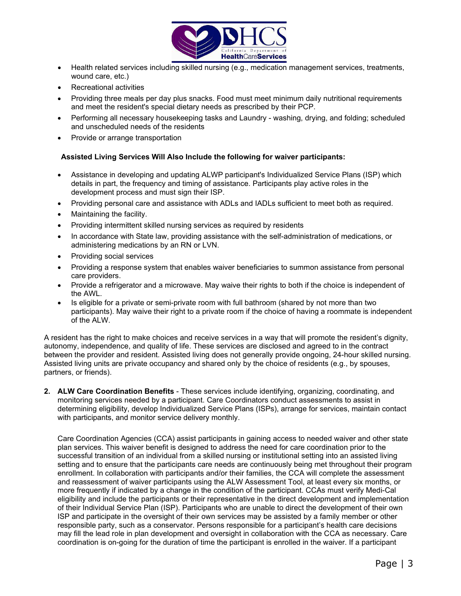

- Health related services including skilled nursing (e.g., medication management services, treatments, wound care, etc.)
- Recreational activities
- Providing three meals per day plus snacks. Food must meet minimum daily nutritional requirements and meet the resident's special dietary needs as prescribed by their PCP.
- Performing all necessary housekeeping tasks and Laundry washing, drying, and folding; scheduled and unscheduled needs of the residents
- Provide or arrange transportation

#### **Assisted Living Services Will Also Include the following for waiver participants:**

- Assistance in developing and updating ALWP participant's Individualized Service Plans (ISP) which details in part, the frequency and timing of assistance. Participants play active roles in the development process and must sign their ISP.
- Providing personal care and assistance with ADLs and IADLs sufficient to meet both as required.
- Maintaining the facility.
- Providing intermittent skilled nursing services as required by residents
- In accordance with State law, providing assistance with the self-administration of medications, or administering medications by an RN or LVN.
- Providing social services
- Providing a response system that enables waiver beneficiaries to summon assistance from personal care providers.
- Provide a refrigerator and a microwave. May waive their rights to both if the choice is independent of the AWL.
- Is eligible for a private or semi-private room with full bathroom (shared by not more than two participants). May waive their right to a private room if the choice of having a roommate is independent of the ALW.

A resident has the right to make choices and receive services in a way that will promote the resident's dignity, autonomy, independence, and quality of life. These services are disclosed and agreed to in the contract between the provider and resident. Assisted living does not generally provide ongoing, 24-hour skilled nursing. Assisted living units are private occupancy and shared only by the choice of residents (e.g., by spouses, partners, or friends).

**2. ALW Care Coordination Benefits** - These services include identifying, organizing, coordinating, and monitoring services needed by a participant. Care Coordinators conduct assessments to assist in determining eligibility, develop Individualized Service Plans (ISPs), arrange for services, maintain contact with participants, and monitor service delivery monthly.

Care Coordination Agencies (CCA) assist participants in gaining access to needed waiver and other state plan services. This waiver benefit is designed to address the need for care coordination prior to the successful transition of an individual from a skilled nursing or institutional setting into an assisted living setting and to ensure that the participants care needs are continuously being met throughout their program enrollment. In collaboration with participants and/or their families, the CCA will complete the assessment and reassessment of waiver participants using the ALW Assessment Tool, at least every six months, or more frequently if indicated by a change in the condition of the participant. CCAs must verify Medi-Cal eligibility and include the participants or their representative in the direct development and implementation of their Individual Service Plan (ISP). Participants who are unable to direct the development of their own ISP and participate in the oversight of their own services may be assisted by a family member or other responsible party, such as a conservator. Persons responsible for a participant's health care decisions may fill the lead role in plan development and oversight in collaboration with the CCA as necessary. Care coordination is on-going for the duration of time the participant is enrolled in the waiver. If a participant